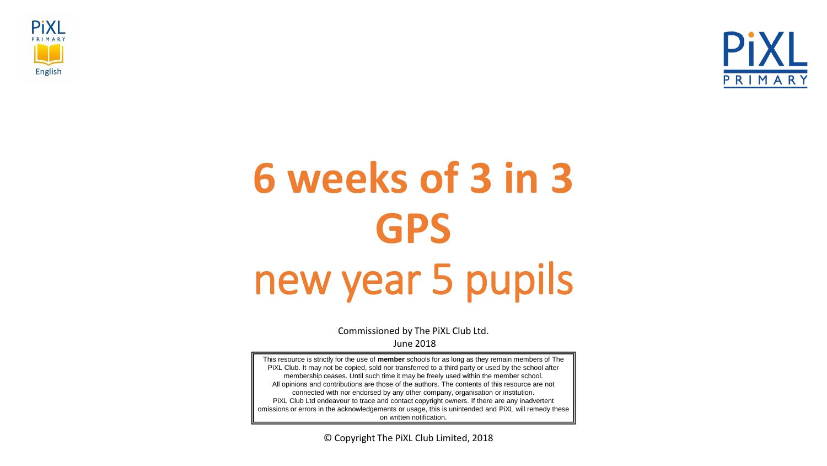



# **6 weeks of 3 in 3 GPS** new year 5 pupils

Commissioned by The PiXL Club Ltd. June 2018

This resource is strictly for the use of **member** schools for as long as they remain members of The PiXL Club. It may not be copied, sold nor transferred to a third party or used by the school after membership ceases. Until such time it may be freely used within the member school. All opinions and contributions are those of the authors. The contents of this resource are not connected with nor endorsed by any other company, organisation or institution. PiXL Club Ltd endeavour to trace and contact copyright owners. If there are any inadvertent omissions or errors in the acknowledgements or usage, this is unintended and PiXL will remedy these on written notification.

© Copyright The PiXL Club Limited, 2018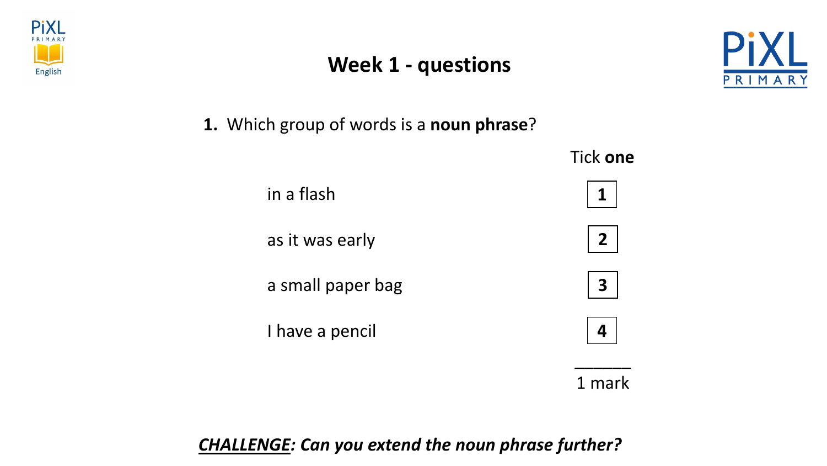





**1.** Which group of words is a **noun phrase**?



*CHALLENGE: Can you extend the noun phrase further?*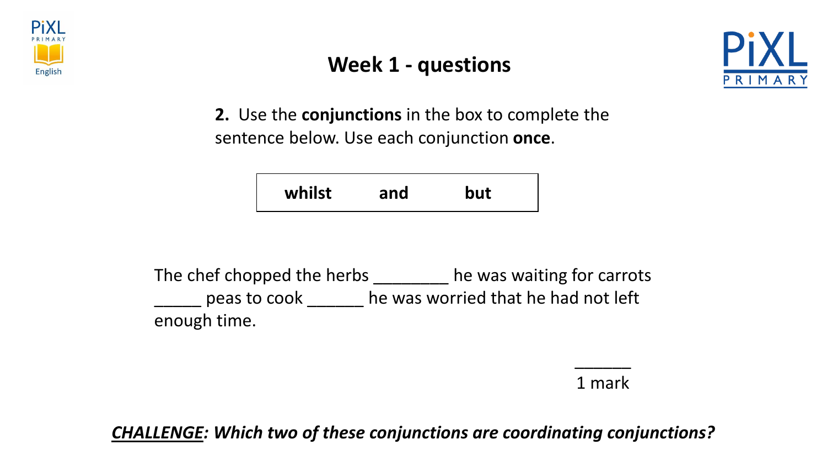





**2.** Use the **conjunctions** in the box to complete the sentence below. Use each conjunction **once**.

|--|

The chef chopped the herbs \_\_\_\_\_\_\_\_ he was waiting for carrots peas to cook \_\_\_\_\_\_ he was worried that he had not left enough time.

1 mark

 $\overline{\phantom{a}}$ 

*CHALLENGE: Which two of these conjunctions are coordinating conjunctions?*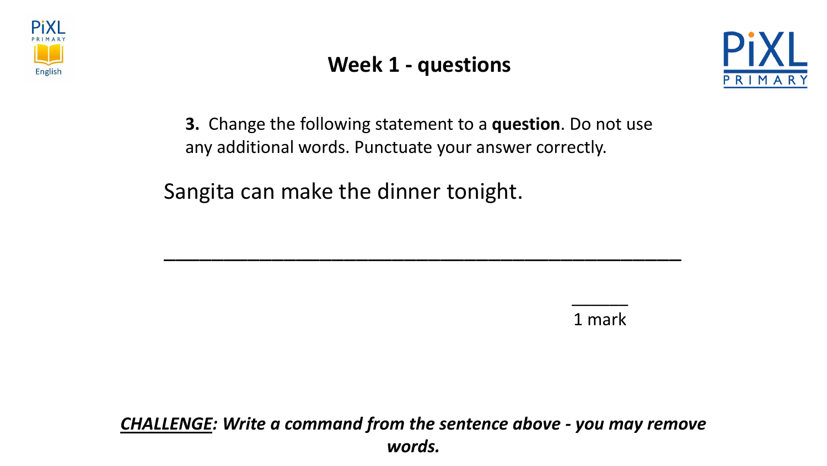





**3.** Change the following statement to a **question**. Do not use any additional words. Punctuate your answer correctly.

\_\_\_\_\_\_\_\_\_\_\_\_\_\_\_\_\_\_\_\_\_\_\_\_\_\_\_\_\_\_\_\_\_\_\_\_\_\_\_\_\_\_\_

Sangita can make the dinner tonight.

1 mark

 $\overline{\phantom{a}}$ 

*CHALLENGE: Write a command from the sentence above - you may remove words.*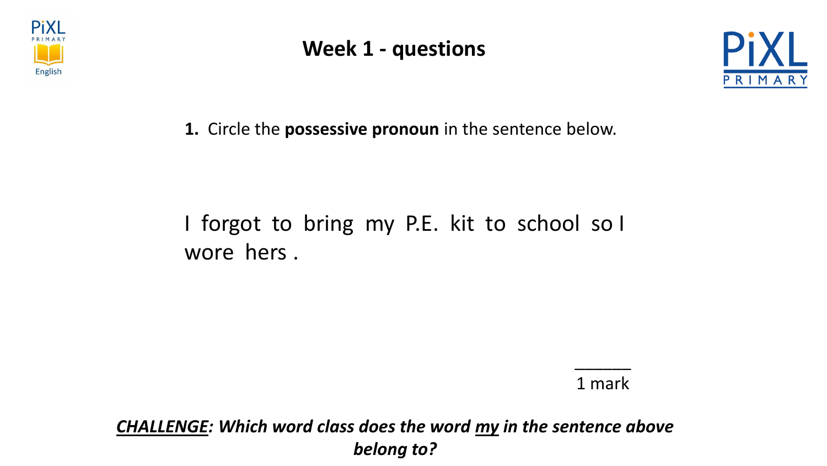



**1.** Circle the **possessive pronoun** in the sentence below.

## I forgot to bring my P.E. kit to school so I wore hers .

1 mark

\_\_\_\_\_\_

*CHALLENGE: Which word class does the word my in the sentence above belong to?*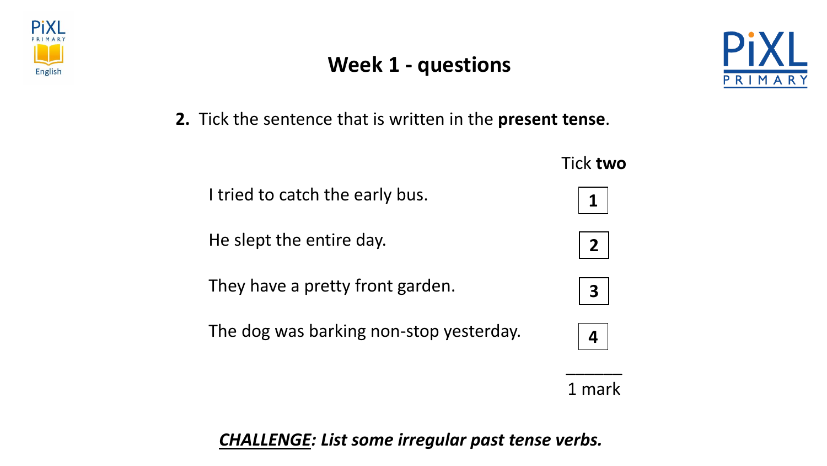



**2.** Tick the sentence that is written in the **present tense**.



*CHALLENGE: List some irregular past tense verbs.*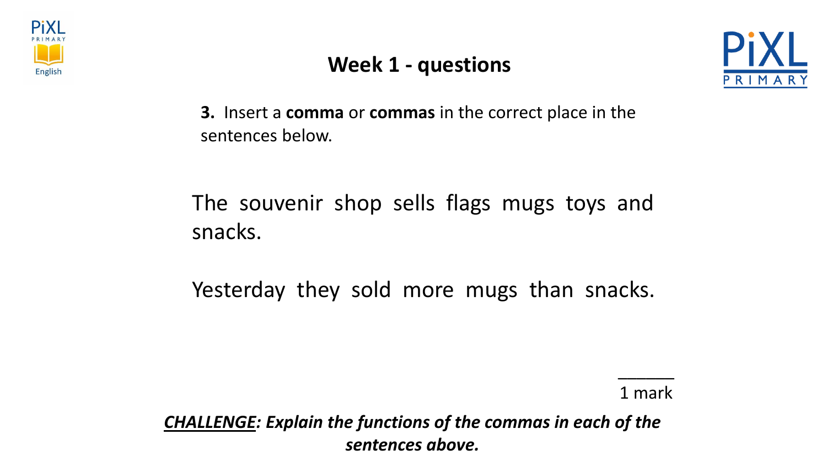





**3.** Insert a **comma** or **commas** in the correct place in the sentences below.

The souvenir shop sells flags mugs toys and snacks.

Yesterday they sold more mugs than snacks.

1 mark

\_\_\_\_\_\_

*CHALLENGE: Explain the functions of the commas in each of the sentences above.*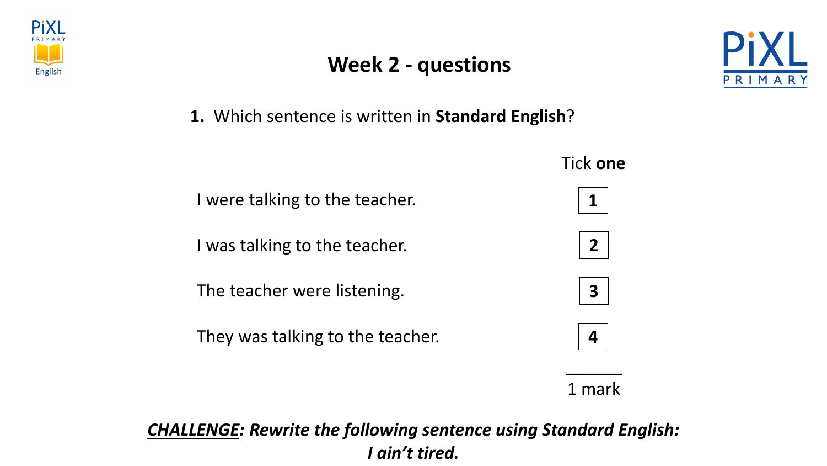



**1.** Which sentence is written in **Standard English**?



*CHALLENGE: Rewrite the following sentence using Standard English: I ain't tired.*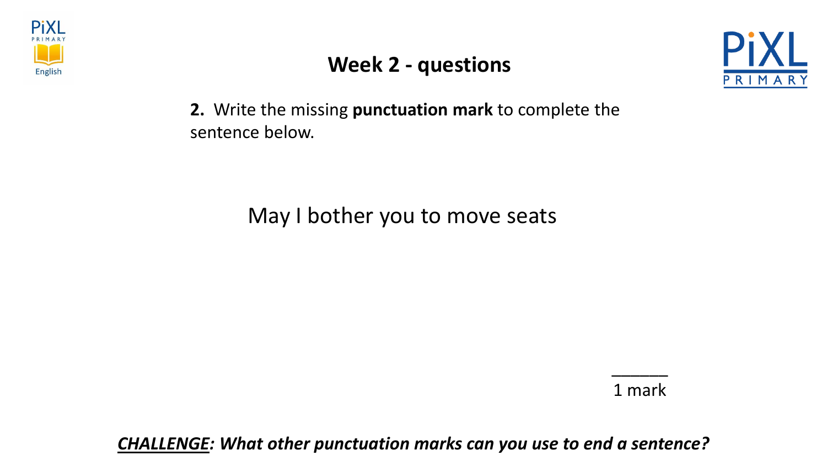





**2.** Write the missing **punctuation mark** to complete the sentence below.

May I bother you to move seats

1 mark

\_\_\_\_\_\_

*CHALLENGE: What other punctuation marks can you use to end a sentence?*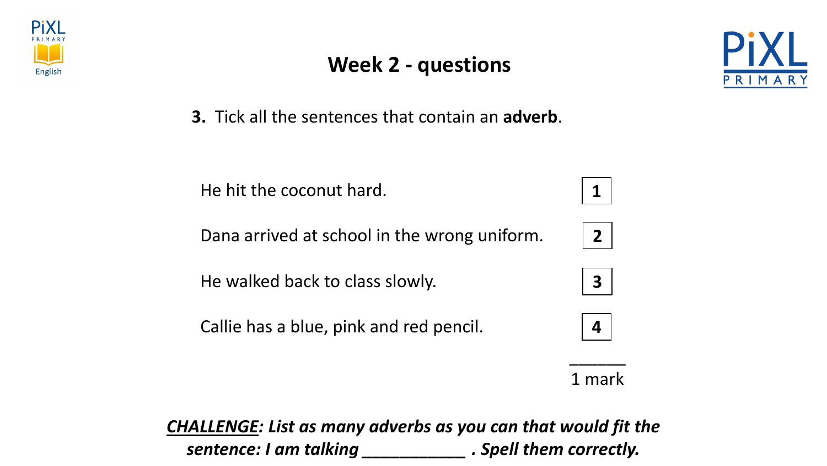



**3.** Tick all the sentences that contain an **adverb**.



*CHALLENGE: List as many adverbs as you can that would fit the sentence: I am talking \_\_\_\_\_\_\_\_\_\_\_ . Spell them correctly.*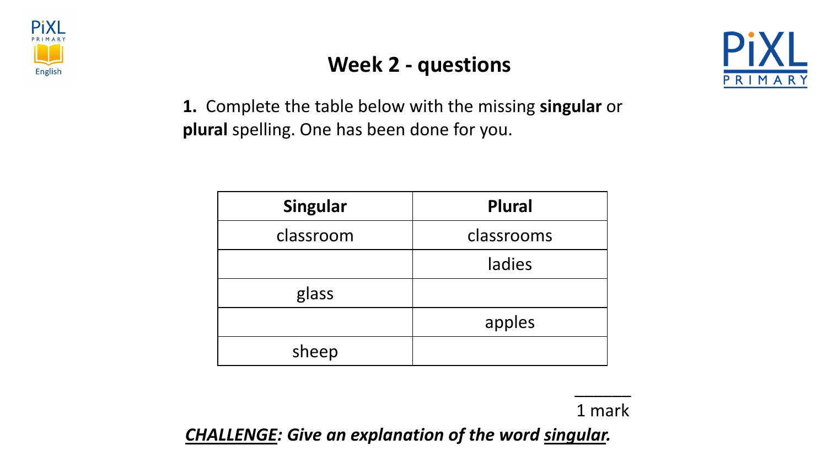



**1.** Complete the table below with the missing **singular** or **plural** spelling. One has been done for you.

| <b>Singular</b> | <b>Plural</b> |
|-----------------|---------------|
| classroom       | classrooms    |
|                 | ladies        |
| glass           |               |
|                 | apples        |
| sheep           |               |

1 mark

\_\_\_\_\_\_

*CHALLENGE: Give an explanation of the word singular.*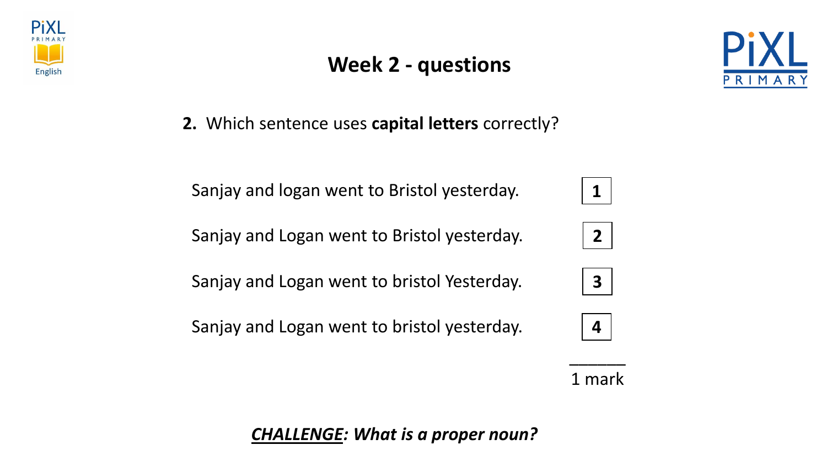



**2.** Which sentence uses **capital letters** correctly?



#### 1 mark

*CHALLENGE: What is a proper noun?*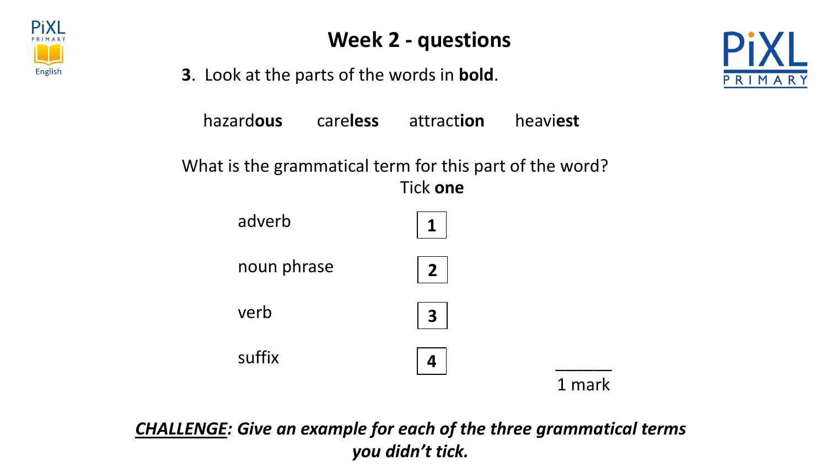

**3**. Look at the parts of the words in **bold**.

hazard**ous** care**less** attract**ion** heavi**est**

What is the grammatical term for this part of the word? Tick **one**



*CHALLENGE: Give an example for each of the three grammatical terms you didn't tick.*

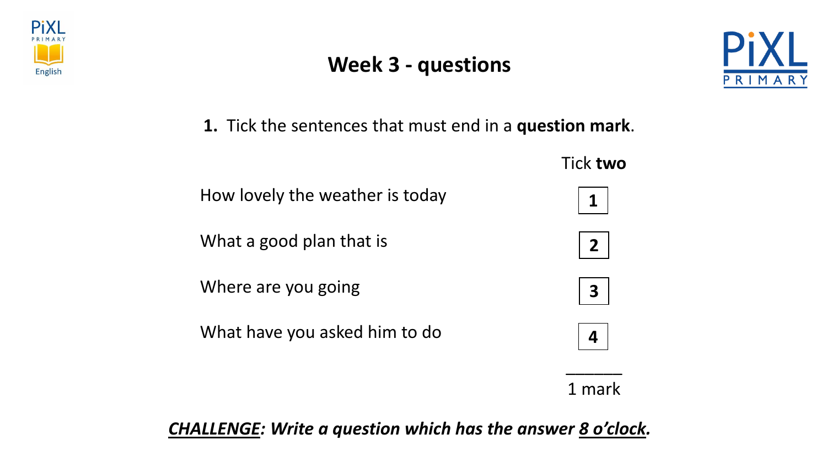





**1.** Tick the sentences that must end in a **question mark**.



*CHALLENGE: Write a question which has the answer 8 o'clock.*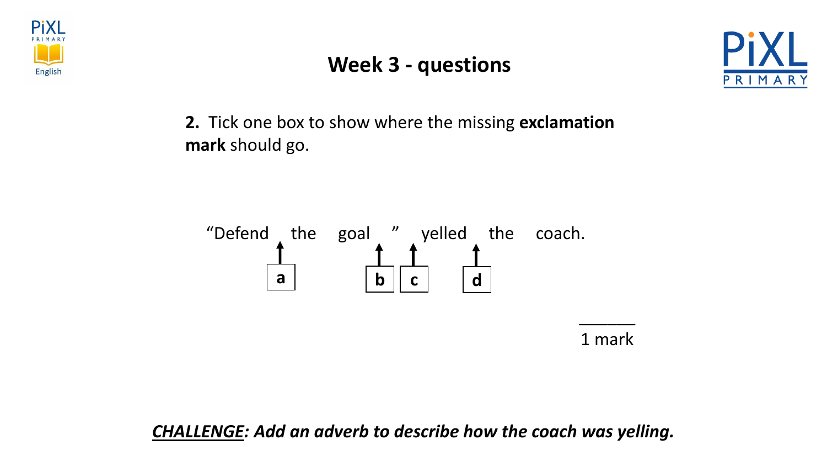





**2.** Tick one box to show where the missing **exclamation mark** should go.



1 mark

\_\_\_\_\_\_

*CHALLENGE: Add an adverb to describe how the coach was yelling.*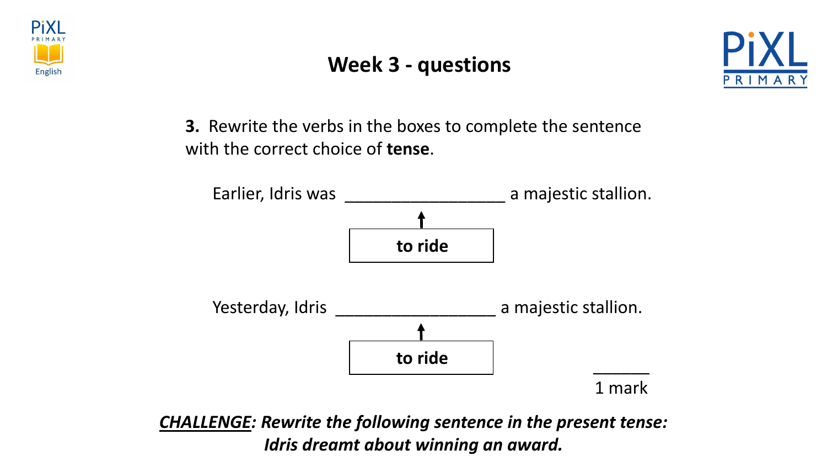





**3.** Rewrite the verbs in the boxes to complete the sentence with the correct choice of **tense**.



*CHALLENGE: Rewrite the following sentence in the present tense: Idris dreamt about winning an award.*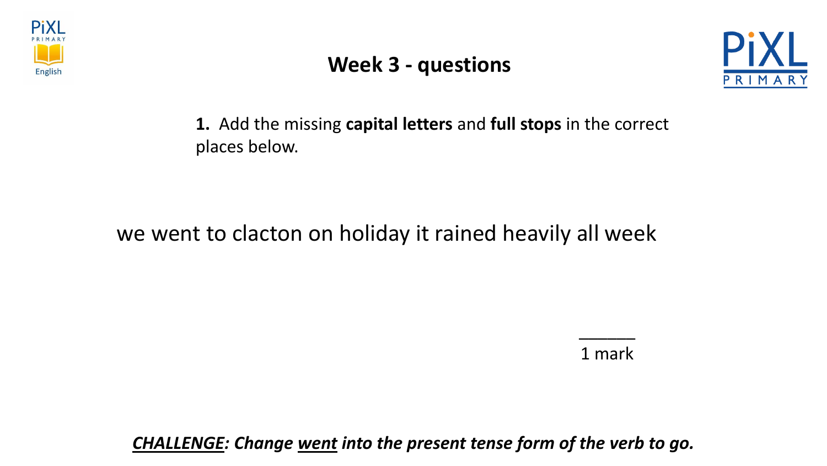





**1.** Add the missing **capital letters** and **full stops** in the correct places below.

#### we went to clacton on holiday it rained heavily all week

1 mark

\_\_\_\_\_\_

*CHALLENGE: Change went into the present tense form of the verb to go.*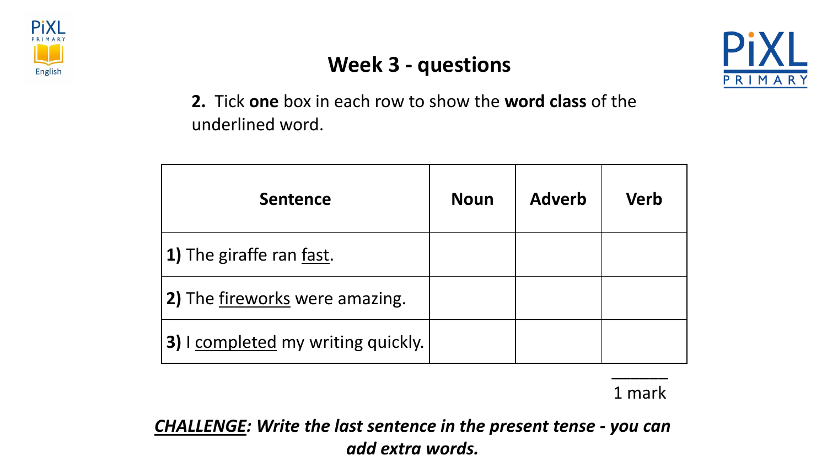



**2.** Tick **one** box in each row to show the **word class** of the underlined word.

| <b>Sentence</b>                    | <b>Noun</b> | <b>Adverb</b> | Verb |
|------------------------------------|-------------|---------------|------|
| 1) The giraffe ran fast.           |             |               |      |
| 2) The fireworks were amazing.     |             |               |      |
| 3) I completed my writing quickly. |             |               |      |
|                                    |             |               |      |

#### 1 mark

*CHALLENGE: Write the last sentence in the present tense - you can add extra words.*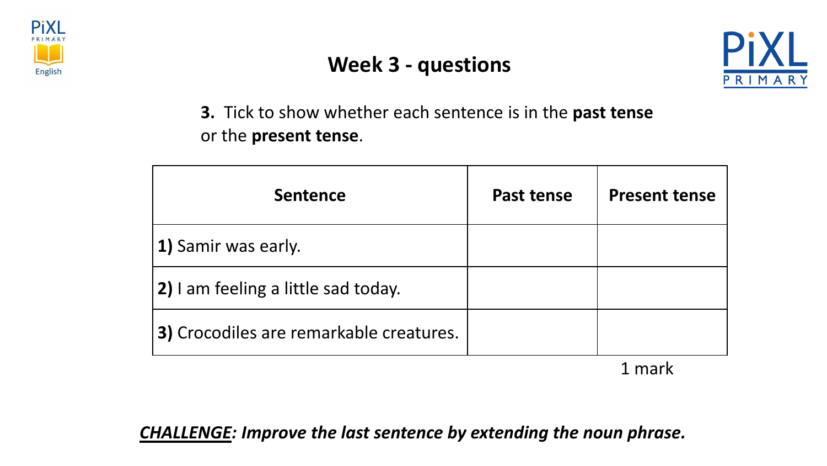





**3.** Tick to show whether each sentence is in the **past tense**  or the **present tense**.

| <b>Sentence</b>                         | Past tense | <b>Present tense</b>          |
|-----------------------------------------|------------|-------------------------------|
| 1) Samir was early.                     |            |                               |
| 2) I am feeling a little sad today.     |            |                               |
| 3) Crocodiles are remarkable creatures. |            |                               |
|                                         |            | $\mathbf{A}$ and $\mathbf{A}$ |

1 mark

*CHALLENGE: Improve the last sentence by extending the noun phrase.*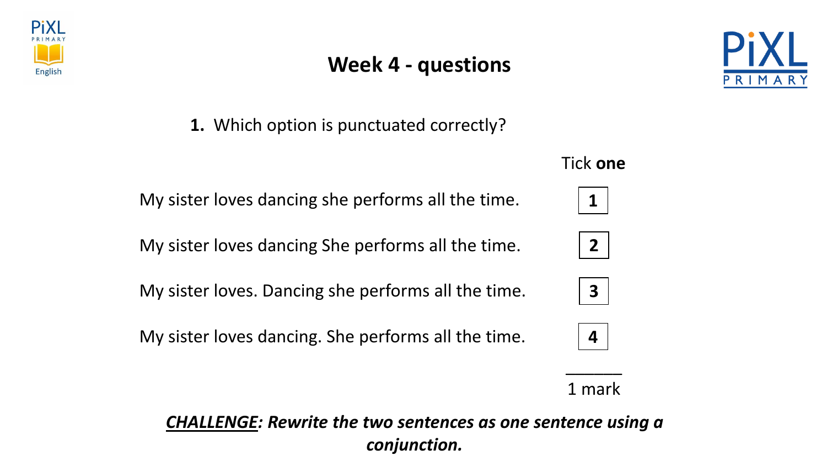



- **1.** Which option is punctuated correctly?
- My sister loves dancing she performs all the time. My sister loves dancing She performs all the time. My sister loves. Dancing she performs all the time.
- My sister loves dancing. She performs all the time.







1 mark

\_\_\_\_\_\_

*CHALLENGE: Rewrite the two sentences as one sentence using a conjunction.*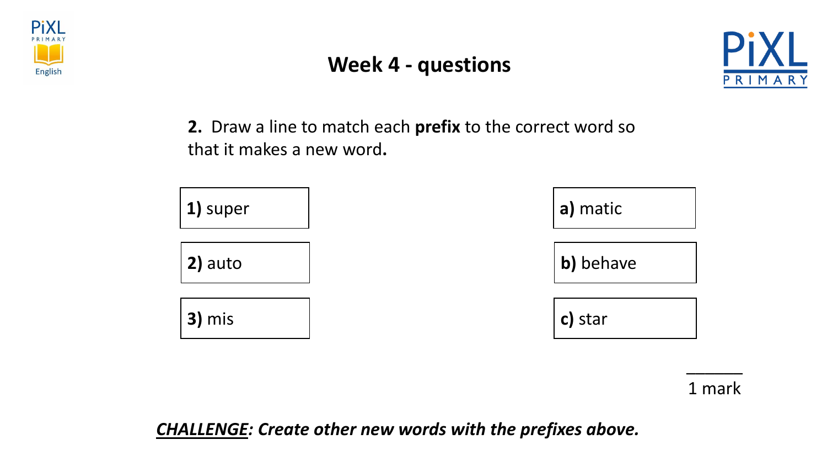





**2.** Draw a line to match each **prefix** to the correct word so that it makes a new word**.**



1 mark

 $\overline{\phantom{a}}$ 

*CHALLENGE: Create other new words with the prefixes above.*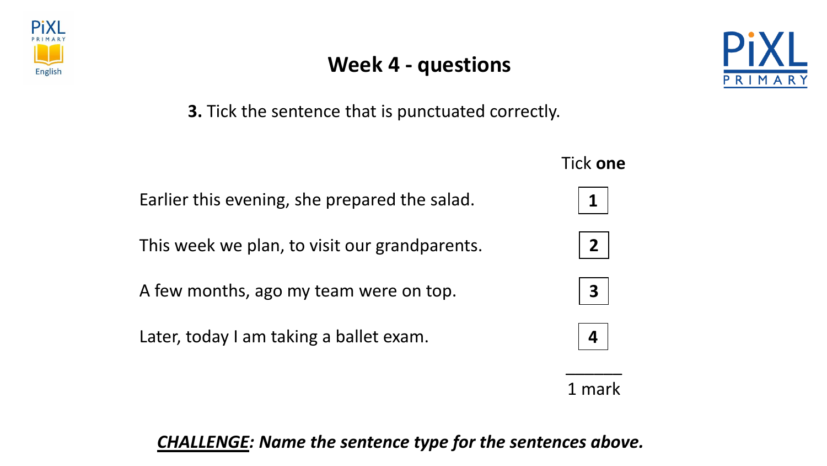



**3.** Tick the sentence that is punctuated correctly.



1 mark

*CHALLENGE: Name the sentence type for the sentences above.*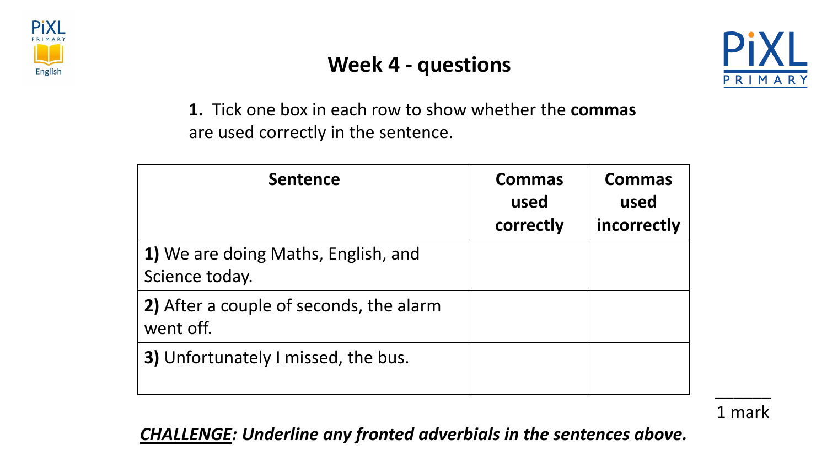





**1.** Tick one box in each row to show whether the **commas** are used correctly in the sentence.

| <b>Sentence</b>                                       | <b>Commas</b><br>used<br>correctly | <b>Commas</b><br>used<br>incorrectly |
|-------------------------------------------------------|------------------------------------|--------------------------------------|
| 1) We are doing Maths, English, and<br>Science today. |                                    |                                      |
| 2) After a couple of seconds, the alarm<br>went off.  |                                    |                                      |
| 3) Unfortunately I missed, the bus.                   |                                    |                                      |

1 mark

\_\_\_\_\_\_

*CHALLENGE: Underline any fronted adverbials in the sentences above.*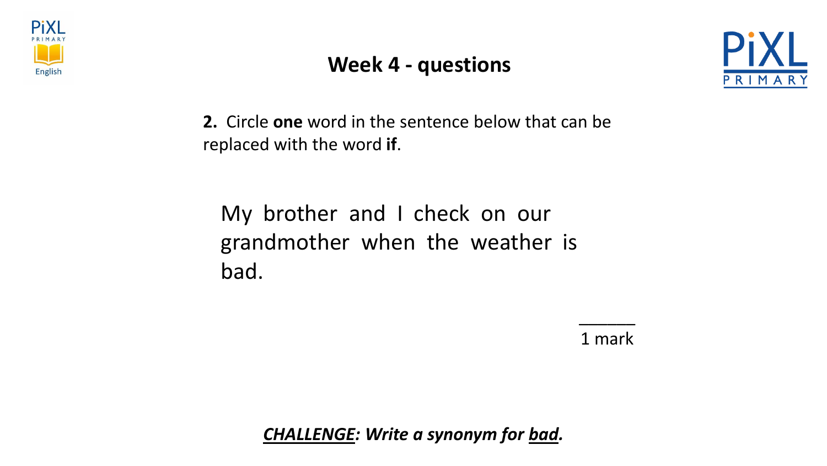





**2.** Circle **one** word in the sentence below that can be replaced with the word **if**.

My brother and I check on our grandmother when the weather is bad.

1 mark

\_\_\_\_\_\_

*CHALLENGE: Write a synonym for bad.*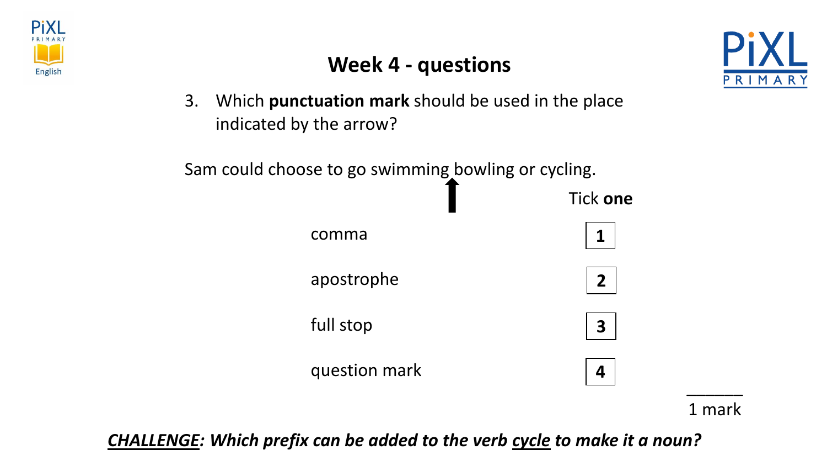



3. Which **punctuation mark** should be used in the place indicated by the arrow?

Sam could choose to go swimming bowling or cycling.



1 mark

\_\_\_\_\_\_

*CHALLENGE: Which prefix can be added to the verb cycle to make it a noun?*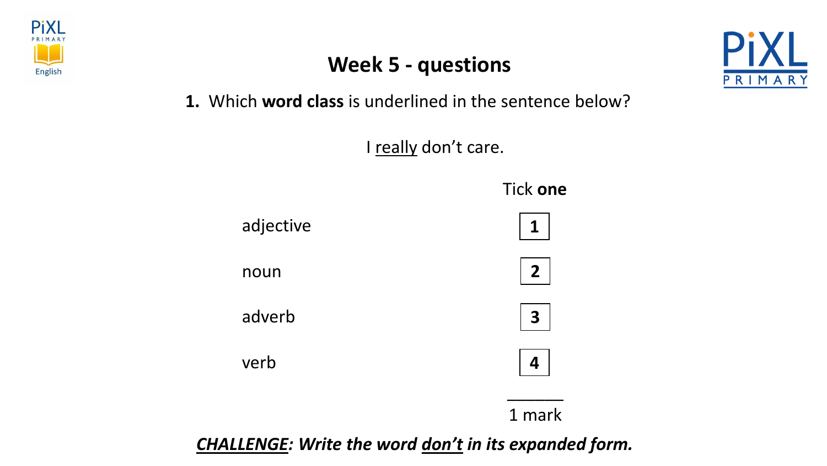





**1.** Which **word class** is underlined in the sentence below?

I really don't care.



*CHALLENGE: Write the word don't in its expanded form.*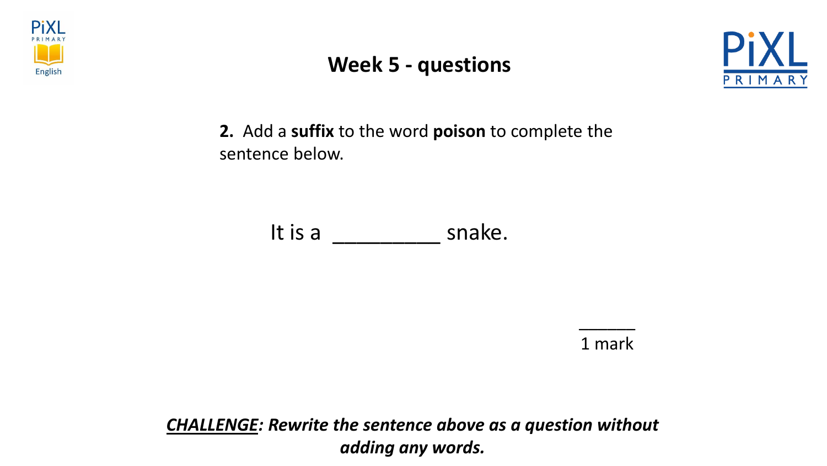





**2.** Add a **suffix** to the word **poison** to complete the sentence below.

It is a conservation of the snake.

1 mark

\_\_\_\_\_\_

*CHALLENGE: Rewrite the sentence above as a question without adding any words.*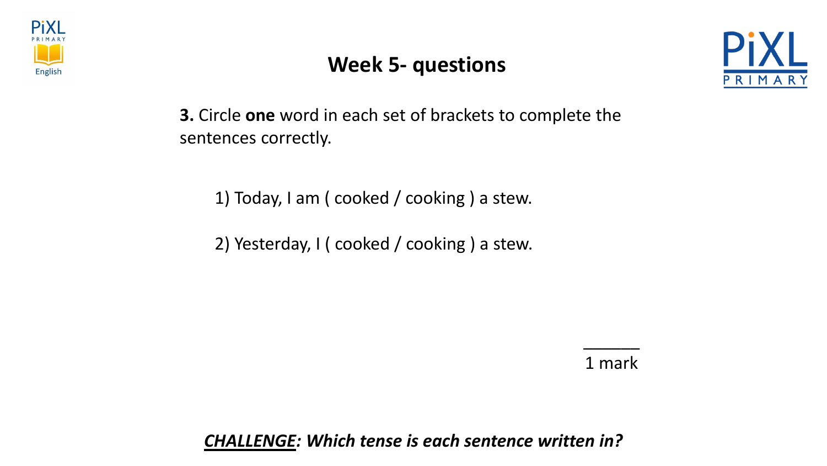



**3.** Circle **one** word in each set of brackets to complete the sentences correctly.

1) Today, I am ( cooked / cooking ) a stew.

2) Yesterday, I ( cooked / cooking ) a stew.

1 mark

\_\_\_\_\_\_

*CHALLENGE: Which tense is each sentence written in?*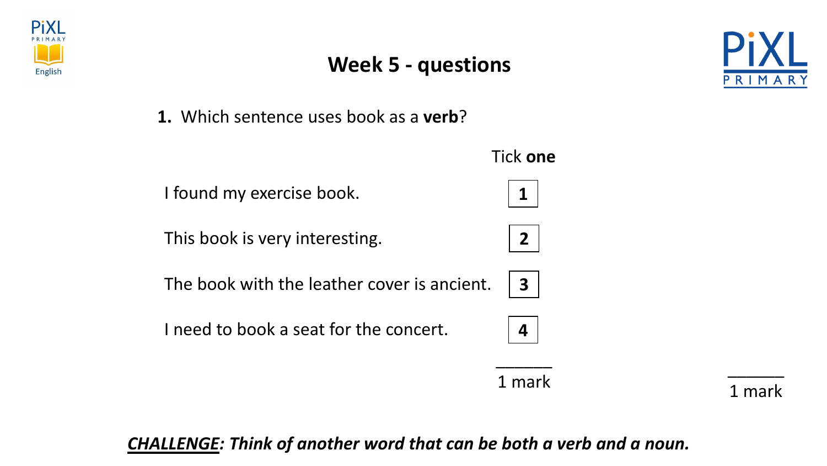



**1.** Which sentence uses book as a **verb**?

|                                             | Tick one                |  |
|---------------------------------------------|-------------------------|--|
| I found my exercise book.                   | $\mathbf 1$             |  |
| This book is very interesting.              | 2 <sup>1</sup>          |  |
| The book with the leather cover is ancient. | $\overline{\mathbf{3}}$ |  |
| I need to book a seat for the concert.      | $\overline{\mathbf{4}}$ |  |
|                                             | 1 mark                  |  |

*CHALLENGE: Think of another word that can be both a verb and a noun.*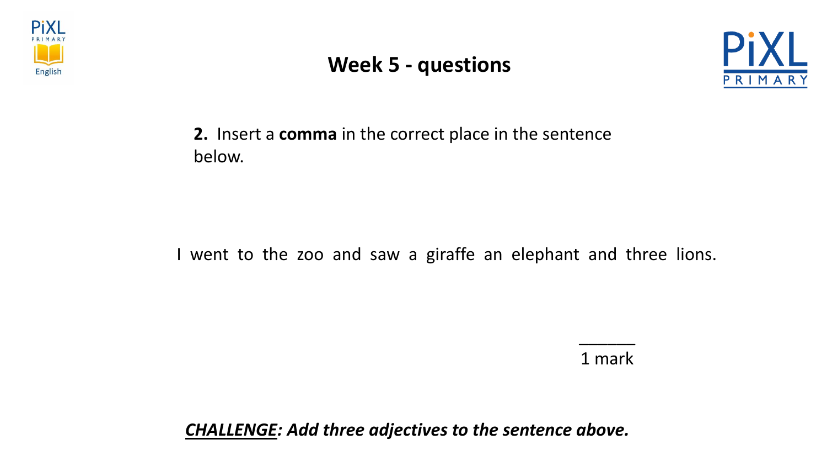



**2.** Insert a **comma** in the correct place in the sentence below.

I went to the zoo and saw a giraffe an elephant and three lions.

1 mark

\_\_\_\_\_\_

*CHALLENGE: Add three adjectives to the sentence above.*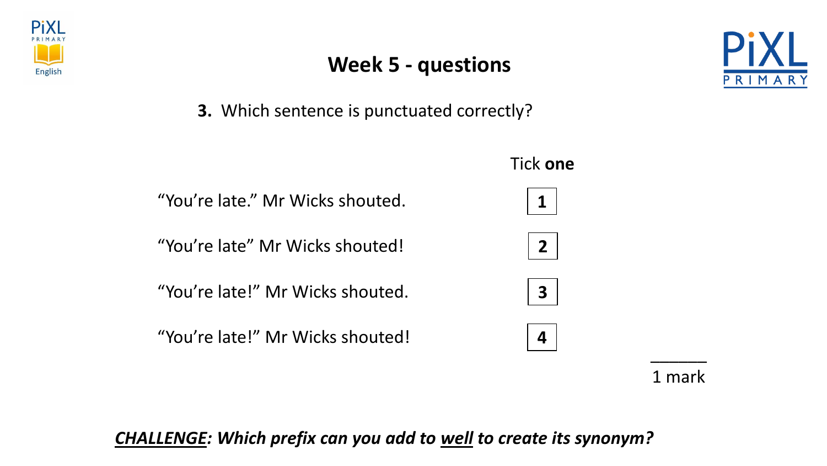



**3.** Which sentence is punctuated correctly?

|                                  | Tick one                |
|----------------------------------|-------------------------|
| "You're late." Mr Wicks shouted. | $\mathbf{1}$            |
| "You're late" Mr Wicks shouted!  | 2 <sup>1</sup>          |
| "You're late!" Mr Wicks shouted. | $\overline{\mathbf{3}}$ |
| "You're late!" Mr Wicks shouted! | $\overline{\mathbf{4}}$ |

1 mark

*CHALLENGE: Which prefix can you add to well to create its synonym?*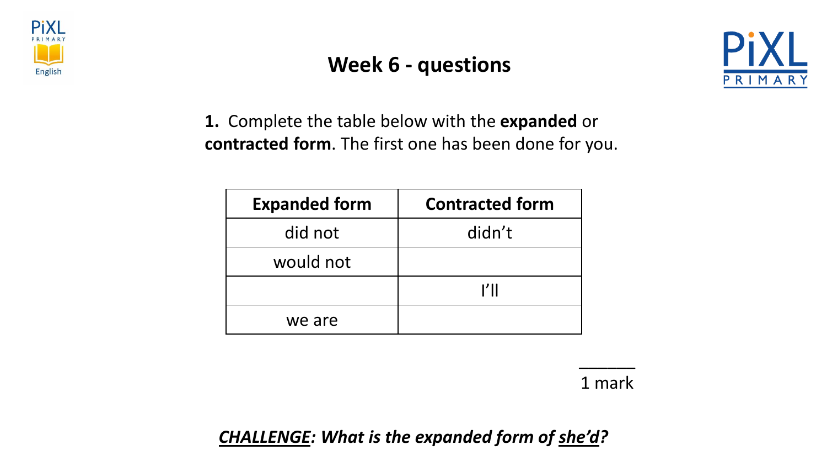





**1.** Complete the table below with the **expanded** or **contracted form**. The first one has been done for you.

| <b>Expanded form</b> | <b>Contracted form</b> |
|----------------------|------------------------|
| did not              | didn't                 |
| would not            |                        |
|                      | ĽH                     |
| we are               |                        |

1 mark

 $\overline{\phantom{a}}$ 

*CHALLENGE: What is the expanded form of she'd?*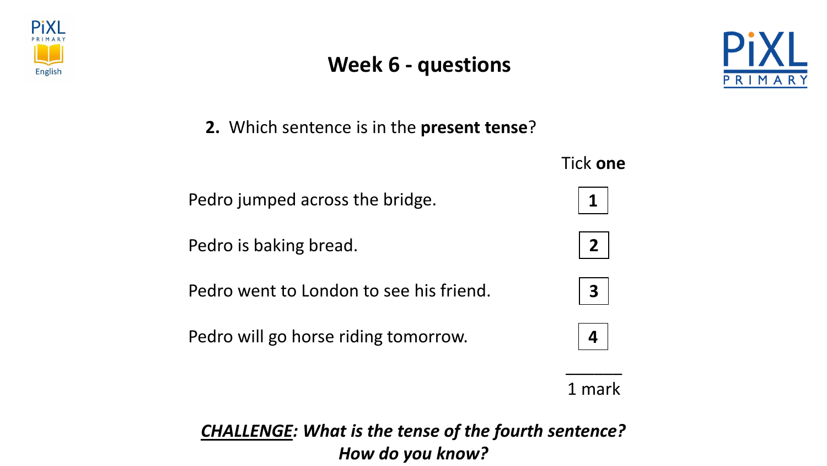





**2.** Which sentence is in the **present tense**?



*CHALLENGE: What is the tense of the fourth sentence? How do you know?*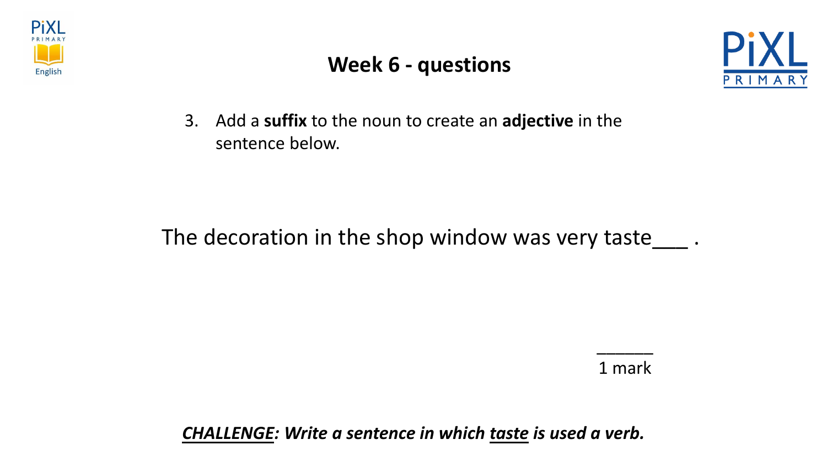





3. Add a **suffix** to the noun to create an **adjective** in the sentence below.

#### The decoration in the shop window was very taste\_\_\_\_.

1 mark

\_\_\_\_\_\_

*CHALLENGE: Write a sentence in which taste is used a verb.*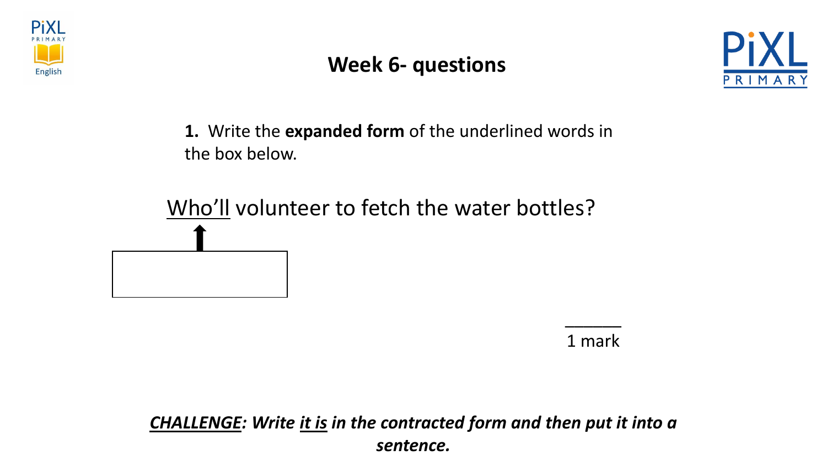



**1.** Write the **expanded form** of the underlined words in the box below.

Who'll volunteer to fetch the water bottles?

1 mark

\_\_\_\_\_\_

*CHALLENGE: Write it is in the contracted form and then put it into a sentence.*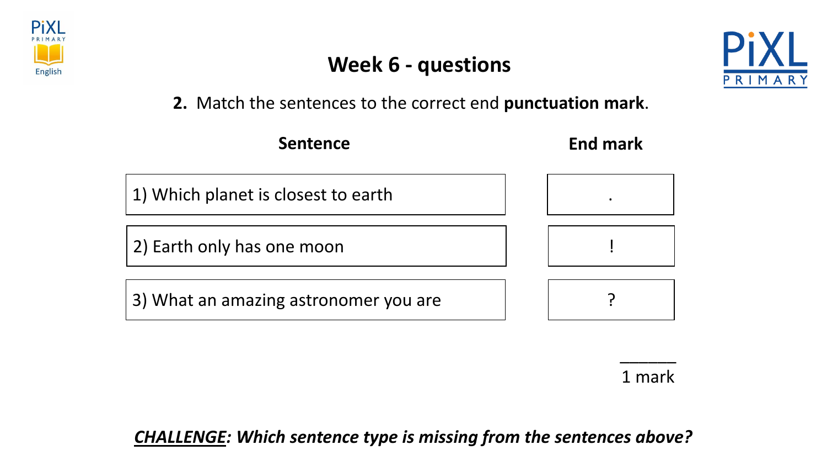





**2.** Match the sentences to the correct end **punctuation mark**.



1 mark

\_\_\_\_\_\_

*CHALLENGE: Which sentence type is missing from the sentences above?*